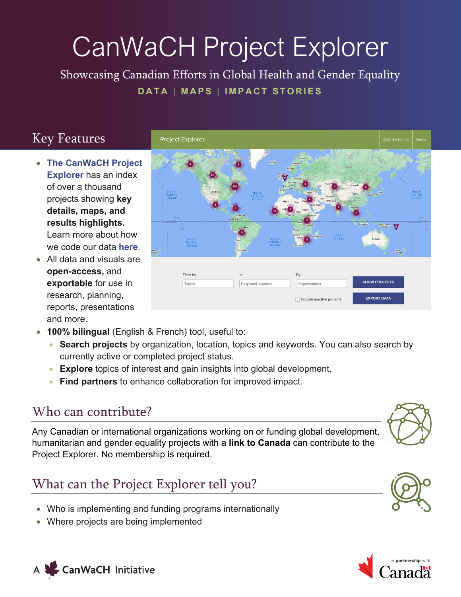# CanWaCH Project Explorer

Showcasing Canadian Efforts in Global Health and Gender Equality **DATA** | **MAPS** | **IMPACT STORIES**

### Key Features

- **[The CanWaCH Project](https://canwach.ca/data-exchange/project-explorer/)  [Explorer](https://canwach.ca/data-exchange/project-explorer/)** has an index of over a thousand projects showing **key details, maps, and results highlights.**  Learn more about how we code our data **[here](https://canwach.ca/data-exchange/methodology-policies-and-standard-operating-procedures/#Project-Explorer-Methodology-)**.
- All data and visuals are **open-access,** and **exportable** for use in research, planning, reports, presentations and more.



- **100% bilingual** (English & French) tool, useful to:
	- **Search projects** by organization, location, topics and keywords. You can also search by currently active or completed project status.
	- **Explore** topics of interest and gain insights into global development.
	- **Find partners** to enhance collaboration for improved impact.

#### Who can contribute?

Any Canadian or international organizations working on or funding global development, humanitarian and gender equality projects with a **link to Canada** can contribute to the Project Explorer. No membership is required.

## What can the Project Explorer tell you?

- Who is implementing and funding programs internationally
- Where projects are being implemented